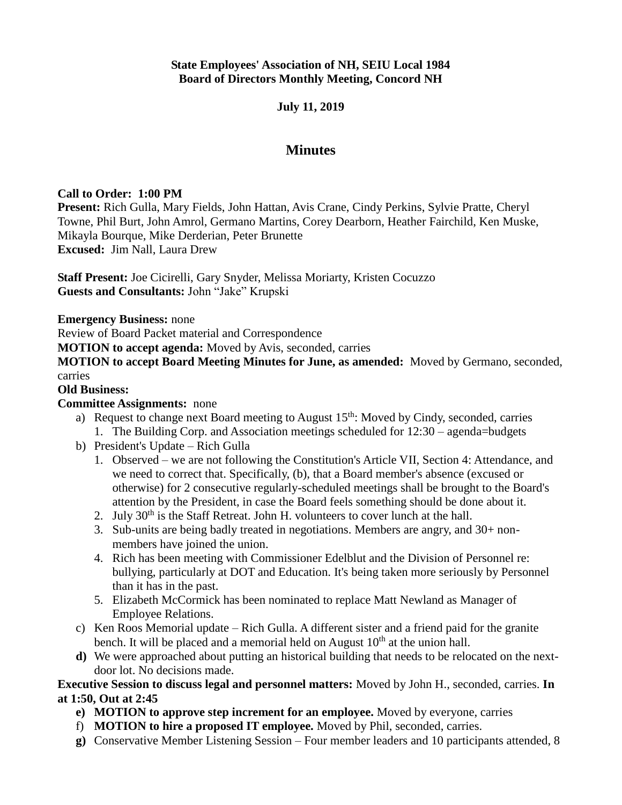## **State Employees' Association of NH, SEIU Local 1984 Board of Directors Monthly Meeting, Concord NH**

## **July 11, 2019**

# **Minutes**

### **Call to Order: 1:00 PM**

**Present:** Rich Gulla, Mary Fields, John Hattan, Avis Crane, Cindy Perkins, Sylvie Pratte, Cheryl Towne, Phil Burt, John Amrol, Germano Martins, Corey Dearborn, Heather Fairchild, Ken Muske, Mikayla Bourque, Mike Derderian, Peter Brunette **Excused:** Jim Nall, Laura Drew

**Staff Present:** Joe Cicirelli, Gary Snyder, Melissa Moriarty, Kristen Cocuzzo **Guests and Consultants:** John "Jake" Krupski

**Emergency Business:** none

Review of Board Packet material and Correspondence

**MOTION to accept agenda:** Moved by Avis, seconded, carries

**MOTION to accept Board Meeting Minutes for June, as amended:** Moved by Germano, seconded, carries

#### **Old Business:**

#### **Committee Assignments:** none

- a) Request to change next Board meeting to August  $15<sup>th</sup>$ : Moved by Cindy, seconded, carries 1. The Building Corp. and Association meetings scheduled for 12:30 – agenda=budgets
- b) President's Update Rich Gulla
	- 1. Observed we are not following the Constitution's Article VII, Section 4: Attendance, and we need to correct that. Specifically, (b), that a Board member's absence (excused or otherwise) for 2 consecutive regularly-scheduled meetings shall be brought to the Board's attention by the President, in case the Board feels something should be done about it.
	- 2. July  $30<sup>th</sup>$  is the Staff Retreat. John H. volunteers to cover lunch at the hall.
	- 3. Sub-units are being badly treated in negotiations. Members are angry, and 30+ nonmembers have joined the union.
	- 4. Rich has been meeting with Commissioner Edelblut and the Division of Personnel re: bullying, particularly at DOT and Education. It's being taken more seriously by Personnel than it has in the past.
	- 5. Elizabeth McCormick has been nominated to replace Matt Newland as Manager of Employee Relations.
- c) Ken Roos Memorial update Rich Gulla. A different sister and a friend paid for the granite bench. It will be placed and a memorial held on August  $10<sup>th</sup>$  at the union hall.
- **d)** We were approached about putting an historical building that needs to be relocated on the nextdoor lot. No decisions made.

## **Executive Session to discuss legal and personnel matters:** Moved by John H., seconded, carries. **In at 1:50, Out at 2:45**

- **e) MOTION to approve step increment for an employee.** Moved by everyone, carries
- f) **MOTION to hire a proposed IT employee.** Moved by Phil, seconded, carries.
- **g)** Conservative Member Listening Session Four member leaders and 10 participants attended, 8